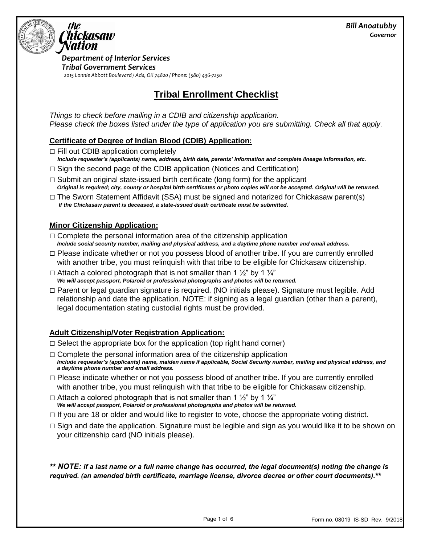

*Department of Interior Services Tribal Government Services 2015 Lonnie Abbott Boulevard / Ada, OK 74820 / Phone: (580) 436-7250*

# **Tribal Enrollment Checklist**

*Things to check before mailing in a CDIB and citizenship application. Please check the boxes listed under the type of application you are submitting. Check all that apply.* 

### **Certificate of Degree of Indian Blood (CDIB) Application:**

 $\Box$  Fill out CDIB application completely

- *Include requester's (applicants) name, address, birth date, parents' information and complete lineage information, etc.*
- $\Box$  Sign the second page of the CDIB application (Notices and Certification)
- $\Box$  Submit an original state-issued birth certificate (long form) for the applicant *Original is required; city, county or hospital birth certificates or photo copies will not be accepted. Original will be returned.*
- $\Box$  The Sworn Statement Affidavit (SSA) must be signed and notarized for Chickasaw parent(s) *If the Chickasaw parent is deceased, a state-issued death certificate must be submitted.*

### **Minor Citizenship Application:**

- $\Box$  Complete the personal information area of the citizenship application *Include social security number, mailing and physical address, and a daytime phone number and email address.*
- $\Box$  Please indicate whether or not you possess blood of another tribe. If you are currently enrolled with another tribe, you must relinquish with that tribe to be eligible for Chickasaw citizenship.
- $\Box$  Attach a colored photograph that is not smaller than 1  $\frac{1}{2}$  by 1  $\frac{1}{4}$ *We will accept passport, Polaroid or professional photographs and photos will be returned.*
- □ Parent or legal guardian signature is required. (NO initials please). Signature must legible. Add relationship and date the application. NOTE: if signing as a legal guardian (other than a parent), legal documentation stating custodial rights must be provided.

# **Adult Citizenship/Voter Registration Application:**

- $\Box$  Select the appropriate box for the application (top right hand corner)
- $\Box$  Complete the personal information area of the citizenship application *Include requester's (applicants) name, maiden name if applicable, Social Security number, mailing and physical address, and a daytime phone number and email address.*
- $\Box$  Please indicate whether or not you possess blood of another tribe. If you are currently enrolled with another tribe, you must relinquish with that tribe to be eligible for Chickasaw citizenship.
- $\Box$  Attach a colored photograph that is not smaller than 1  $\frac{1}{2}$ " by 1  $\frac{1}{4}$ " *We will accept passport, Polaroid or professional photographs and photos will be returned.*
- $\Box$  If you are 18 or older and would like to register to vote, choose the appropriate voting district.
- $\Box$  Sign and date the application. Signature must be legible and sign as you would like it to be shown on your citizenship card (NO initials please).

*\*\* NOTE: if a last name or a full name change has occurred, the legal document(s) noting the change is required. (an amended birth certificate, marriage license, divorce decree or other court documents).\*\**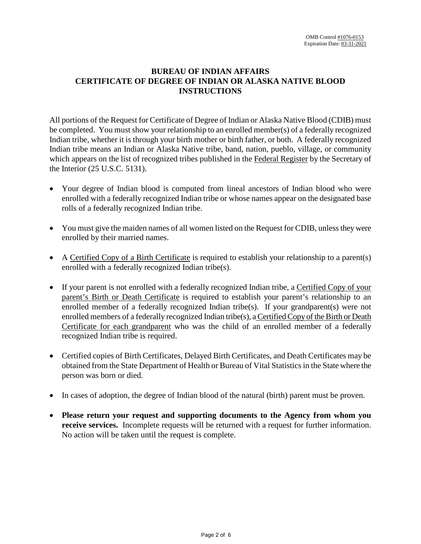# **BUREAU OF INDIAN AFFAIRS CERTIFICATE OF DEGREE OF INDIAN OR ALASKA NATIVE BLOOD INSTRUCTIONS**

All portions of the Request for Certificate of Degree of Indian or Alaska Native Blood (CDIB) must be completed. You must show your relationship to an enrolled member(s) of a federally recognized Indian tribe, whether it is through your birth mother or birth father, or both. A federally recognized Indian tribe means an Indian or Alaska Native tribe, band, nation, pueblo, village, or community which appears on the list of recognized tribes published in the Federal Register by the Secretary of the Interior (25 U.S.C. 5131).

- Your degree of Indian blood is computed from lineal ancestors of Indian blood who were enrolled with a federally recognized Indian tribe or whose names appear on the designated base rolls of a federally recognized Indian tribe.
- You must give the maiden names of all women listed on the Request for CDIB, unless they were enrolled by their married names.
- A Certified Copy of a Birth Certificate is required to establish your relationship to a parent(s) enrolled with a federally recognized Indian tribe(s).
- If your parent is not enrolled with a federally recognized Indian tribe, a Certified Copy of your parent's Birth or Death Certificate is required to establish your parent's relationship to an enrolled member of a federally recognized Indian tribe(s). If your grandparent(s) were not enrolled members of a federally recognized Indian tribe(s), a Certified Copy of the Birth or Death Certificate for each grandparent who was the child of an enrolled member of a federally recognized Indian tribe is required.
- Certified copies of Birth Certificates, Delayed Birth Certificates, and Death Certificates may be obtained from the State Department of Health or Bureau of Vital Statistics in the State where the person was born or died.
- In cases of adoption, the degree of Indian blood of the natural (birth) parent must be proven.
- **Please return your request and supporting documents to the Agency from whom you receive services.** Incomplete requests will be returned with a request for further information. No action will be taken until the request is complete.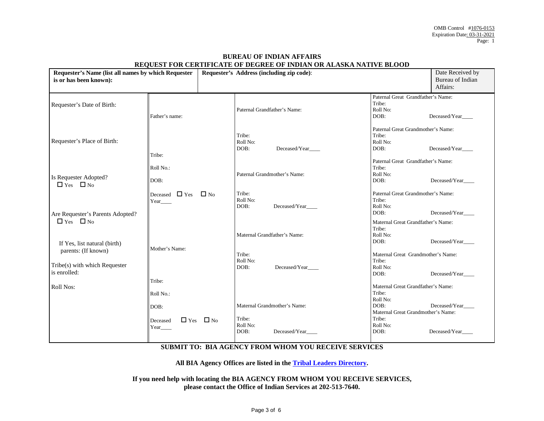| Requester's Name (list all names by which Requester<br>is or has been known): |                                 | <u>KEQUEST FOR CERTIFICATE OF DEGREE OF INDIAN OR ALASKA NATIVE BEOOD</u><br>Requester's Address (including zip code): |                            |                                               | Date Received by<br>Bureau of Indian                                     |                                |
|-------------------------------------------------------------------------------|---------------------------------|------------------------------------------------------------------------------------------------------------------------|----------------------------|-----------------------------------------------|--------------------------------------------------------------------------|--------------------------------|
|                                                                               |                                 |                                                                                                                        |                            |                                               |                                                                          | Affairs:                       |
| Requester's Date of Birth:                                                    | Father's name:                  |                                                                                                                        |                            | Paternal Grandfather's Name:                  | Paternal Great Grandfather's Name:<br>Tribe:<br>Roll No:<br>DOB:         | Deceased/Year                  |
| Requester's Place of Birth:                                                   | Tribe:                          |                                                                                                                        | Tribe:<br>Roll No:<br>DOB: | Deceased/Year                                 | Paternal Great Grandmother's Name:<br>Tribe:<br>Roll No:<br>DOB:         | Deceased/Year                  |
| Is Requester Adopted?<br>$\Box$ Yes $\Box$ No                                 | Roll No.:<br>DOB:               |                                                                                                                        |                            | Paternal Grandmother's Name:                  | Paternal Great Grandfather's Name:<br>Tribe:<br>Roll No:<br>DOB:         | Deceased/Year                  |
| Are Requester's Parents Adopted?                                              | Deceased $\Box$ Yes<br>Year____ | $\Box$ No                                                                                                              | Tribe:<br>Roll No:<br>DOB: | Deceased/Year                                 | Paternal Great Grandmother's Name:<br>Tribe:<br>Roll No:<br>DOB:         | Deceased/Year                  |
| $\Box$ Yes $\Box$ No<br>If Yes, list natural (birth)                          | Mother's Name:                  |                                                                                                                        |                            | Maternal Grandfather's Name:                  | Maternal Great Grandfather's Name:<br>Tribe:<br>Roll No:<br>DOB:         | Deceased/Year                  |
| parents: (If known)<br>Tribe(s) with which Requester<br>is enrolled:          |                                 |                                                                                                                        | Tribe:<br>Roll No:<br>DOB: | Deceased/Year                                 | Maternal Great Grandmother's Name:<br>Tribe:<br>Roll No:<br>DOB:         | Deceased/Year                  |
| Roll Nos:                                                                     | Tribe:<br>Roll No.:             |                                                                                                                        |                            |                                               | Maternal Great Grandfather's Name:<br>Tribe:<br>Roll No:                 |                                |
|                                                                               | DOB:<br>Deceased<br>Year___     | $\Box$ Yes $\Box$ No                                                                                                   | Tribe:<br>Roll No:<br>DOB: | Maternal Grandmother's Name:<br>Deceased/Year | DOB:<br>Maternal Great Grandmother's Name:<br>Tribe:<br>Roll No:<br>DOB: | Deceased/Year<br>Deceased/Year |
|                                                                               |                                 |                                                                                                                        |                            |                                               |                                                                          |                                |

### **BUREAU OF INDIAN AFFAIRS REQUEST FOR CERTIFICATE OF DEGREE OF INDIAN OR ALASKA NATIVE BLOOD**

### **SUBMIT TO: BIA AGENCY FROM WHOM YOU RECEIVE SERVICES**

**All BIA Agency Offices are listed in the Tribal Leaders Directory.** 

**If you need help with locating the BIA AGENCY FROM WHOM YOU RECEIVE SERVICES, please contact the Office of Indian Services at 202-513-7640.**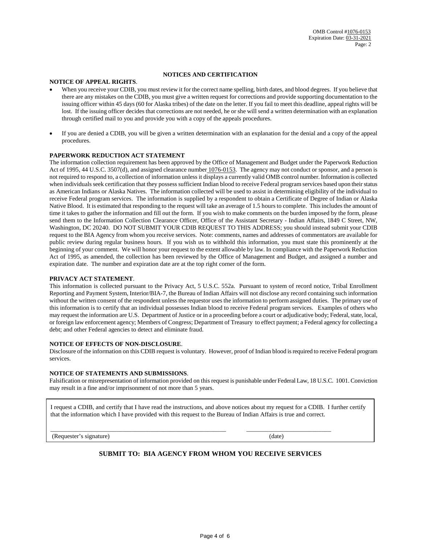#### **NOTICES AND CERTIFICATION**

#### **NOTICE OF APPEAL RIGHTS**.

- When you receive your CDIB, you must review it for the correct name spelling, birth dates, and blood degrees. If you believe that there are any mistakes on the CDIB, you must give a written request for corrections and provide supporting documentation to the issuing officer within 45 days (60 for Alaska tribes) of the date on the letter. If you fail to meet this deadline, appeal rights will be lost. If the issuing officer decides that corrections are not needed, he or she will send a written determination with an explanation through certified mail to you and provide you with a copy of the appeals procedures.
- If you are denied a CDIB, you will be given a written determination with an explanation for the denial and a copy of the appeal procedures.

#### **PAPERWORK REDUCTION ACT STATEMENT**

The information collection requirement has been approved by the Office of Management and Budget under the Paperwork Reduction Act of 1995, 44 U.S.C. 3507(d), and assigned clearance number  $1076-0153$ . The agency may not conduct or sponsor, and a person is not required to respond to, a collection of information unless it displays a currently valid OMB control number. Information is collected when individuals seek certification that they possess sufficient Indian blood to receive Federal program services based upon their status as American Indians or Alaska Natives. The information collected will be used to assist in determining eligibility of the individual to receive Federal program services. The information is supplied by a respondent to obtain a Certificate of Degree of Indian or Alaska Native Blood. It is estimated that responding to the request will take an average of 1.5 hours to complete. This includes the amount of time it takes to gather the information and fill out the form. If you wish to make comments on the burden imposed by the form, please send them to the Information Collection Clearance Officer, Office of the Assistant Secretary - Indian Affairs, 1849 C Street, NW, Washington, DC 20240. DO NOT SUBMIT YOUR CDIB REQUEST TO THIS ADDRESS; you should instead submit your CDIB request to the BIA Agency from whom you receive services. Note: comments, names and addresses of commentators are available for public review during regular business hours. If you wish us to withhold this information, you must state this prominently at the beginning of your comment. We will honor your request to the extent allowable by law. In compliance with the Paperwork Reduction Act of 1995, as amended, the collection has been reviewed by the Office of Management and Budget, and assigned a number and expiration date. The number and expiration date are at the top right corner of the form.

#### **PRIVACY ACT STATEMENT**.

This information is collected pursuant to the Privacy Act, 5 U.S.C. 552a. Pursuant to system of record notice, Tribal Enrollment Reporting and Payment System, Interior/BIA-7, the Bureau of Indian Affairs will not disclose any record containing such information without the written consent of the respondent unless the requestor uses the information to perform assigned duties. The primary use of this information is to certify that an individual possesses Indian blood to receive Federal program services. Examples of others who may request the information are U.S. Department of Justice or in a proceeding before a court or adjudicative body; Federal, state, local, or foreign law enforcement agency; Members of Congress; Department of Treasury to effect payment; a Federal agency for collecting a debt; and other Federal agencies to detect and eliminate fraud.

#### **NOTICE OF EFFECTS OF NON-DISCLOSURE**.

Disclosure of the information on this CDIB request is voluntary. However, proof of Indian blood is required to receive Federal program services.

#### **NOTICE OF STATEMENTS AND SUBMISSIONS**.

Falsification or misrepresentation of information provided on this request is punishable under Federal Law, 18 U.S.C. 1001. Conviction may result in a fine and/or imprisonment of not more than 5 years.

I request a CDIB, and certify that I have read the instructions, and above notices about my request for a CDIB. I further certify that the information which I have provided with this request to the Bureau of Indian Affairs is true and correct.

\_\_\_\_\_\_\_\_\_\_\_\_\_\_\_\_\_\_\_\_\_\_\_\_\_\_\_\_\_\_\_\_\_\_\_\_\_\_\_\_\_\_\_\_\_\_\_\_\_\_\_\_\_\_\_\_ \_\_\_\_\_\_\_\_\_\_\_\_\_\_\_\_\_\_\_\_\_\_\_\_\_\_\_

(Requester's signature) (date)

### **SUBMIT TO: BIA AGENCY FROM WHOM YOU RECEIVE SERVICES**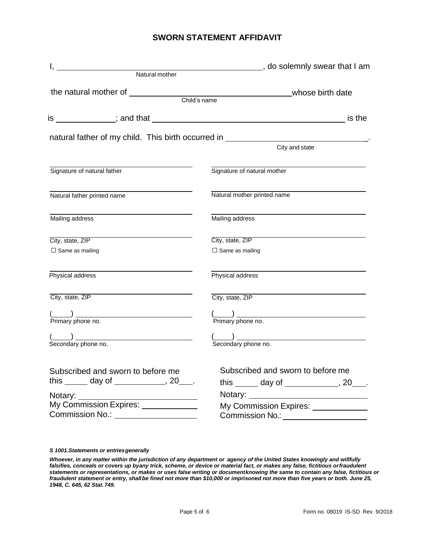## **SWORN STATEMENT AFFIDAVIT**

| Matural mother                                                                   | do solemnly swear that I am                                                                                                                                                                                                          |
|----------------------------------------------------------------------------------|--------------------------------------------------------------------------------------------------------------------------------------------------------------------------------------------------------------------------------------|
|                                                                                  |                                                                                                                                                                                                                                      |
|                                                                                  |                                                                                                                                                                                                                                      |
|                                                                                  |                                                                                                                                                                                                                                      |
|                                                                                  | is the                                                                                                                                                                                                                               |
|                                                                                  | natural father of my child. This birth occurred in _____________________________                                                                                                                                                     |
|                                                                                  | City and state                                                                                                                                                                                                                       |
| Signature of natural father                                                      | Signature of natural mother                                                                                                                                                                                                          |
| Natural father printed name                                                      | Natural mother printed name                                                                                                                                                                                                          |
| Mailing address                                                                  | Mailing address                                                                                                                                                                                                                      |
| City, state, ZIP                                                                 | City, state, ZIP                                                                                                                                                                                                                     |
| $\Box$ Same as mailing                                                           | $\square$ Same as mailing                                                                                                                                                                                                            |
| Physical address                                                                 | Physical address                                                                                                                                                                                                                     |
| City, state, ZIP                                                                 | City, state, ZIP                                                                                                                                                                                                                     |
| $\frac{1}{1}$ Primary phone no.                                                  |                                                                                                                                                                                                                                      |
|                                                                                  | ( <u>Comparently</u> manufactured manufactured manufactured manufactured manufactured manufactured manufactured manufactured manufactured manufactured manufactured manufactured manufactured manufactured manufactured manufactured |
|                                                                                  |                                                                                                                                                                                                                                      |
| Subscribed and sworn to before me                                                | Subscribed and sworn to before me                                                                                                                                                                                                    |
| this $\_\_\_$ day of $\_\_\_\_\_\_$ , 20 $\_\_\_\_\.$                            | this $\_\_\_$ day of $\_\_\_\_\_\$ , 20 $\_\_\_\_\$ .                                                                                                                                                                                |
|                                                                                  |                                                                                                                                                                                                                                      |
| My Commission Expires: ____________<br>Commission No.:<br><u>Commission No.:</u> | My Commission Expires: _____________<br>Commission No.: ___________________                                                                                                                                                          |

#### *S 1001.Statements or entries generally*

*Whoever, in any matter within the jurisdiction of any department or agency of the United States knowingly and willfully falsifies, conceals or covers up by any trick, scheme, or device or material fact, or makes any false, fictitious or fraudulent statements or representations, or makes or uses false writing or document knowing the same to contain any false, fictitious or fraudulent statement or entry, shall be fined not more than \$10,000 or imprisoned not more than five years or both. June 25, 1948, C. 645, 62 Stat. 749.*